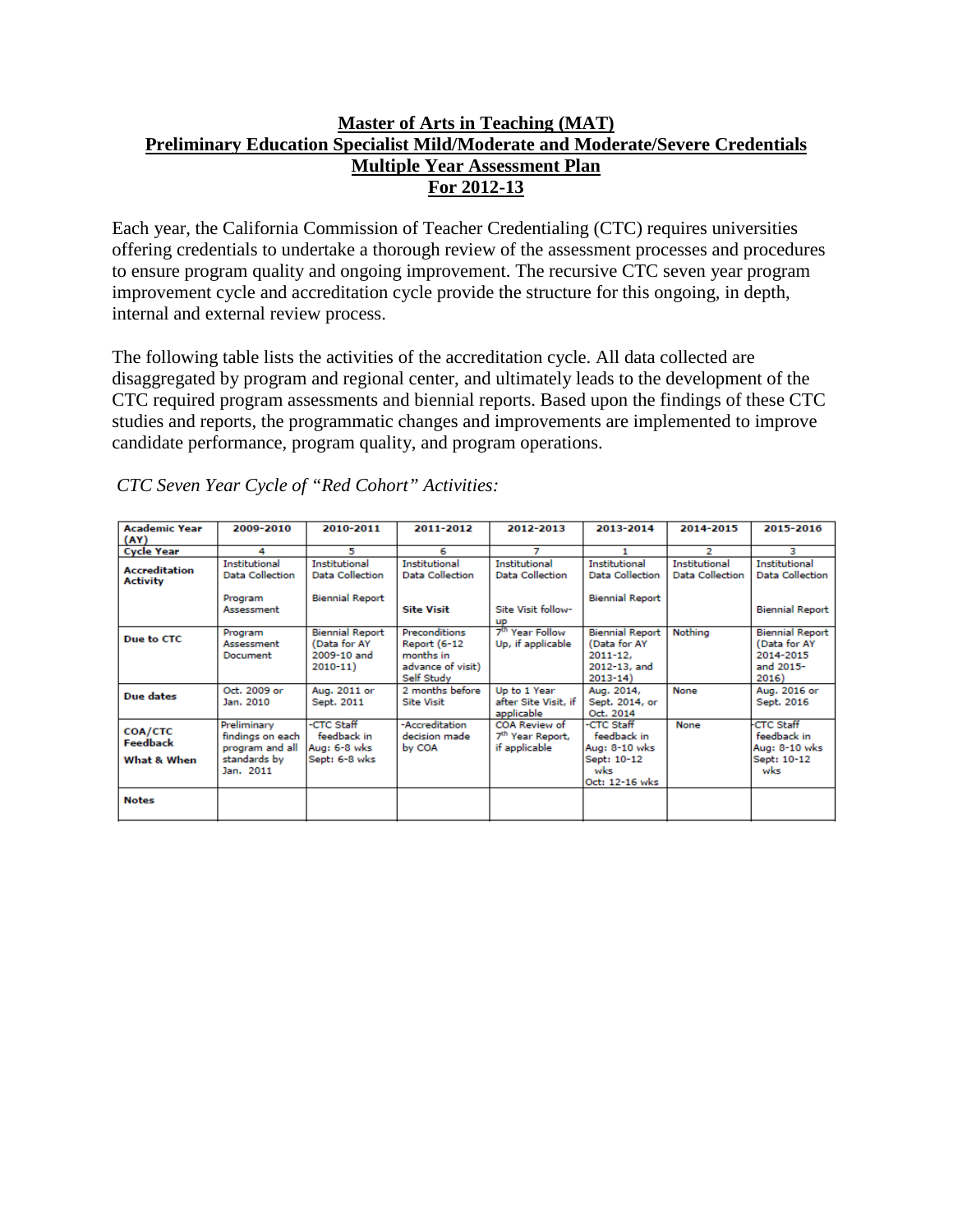# **Master of Arts in Teaching (MAT) Preliminary Education Specialist Mild/Moderate and Moderate/Severe Credentials Multiple Year Assessment Plan For 2012-13**

Each year, the California Commission of Teacher Credentialing (CTC) requires universities offering credentials to undertake a thorough review of the assessment processes and procedures to ensure program quality and ongoing improvement. The recursive CTC seven year program improvement cycle and accreditation cycle provide the structure for this ongoing, in depth, internal and external review process.

The following table lists the activities of the accreditation cycle. All data collected are disaggregated by program and regional center, and ultimately leads to the development of the CTC required program assessments and biennial reports. Based upon the findings of these CTC studies and reports, the programmatic changes and improvements are implemented to improve candidate performance, program quality, and program operations.

| <b>Academic Year</b>                    | 2009-2010                                                                       | 2010-2011                                                            | 2011-2012                                                                            | 2012-2013                                                      | 2013-2014                                                                             | 2014-2015                               | 2015-2016                                                                 |
|-----------------------------------------|---------------------------------------------------------------------------------|----------------------------------------------------------------------|--------------------------------------------------------------------------------------|----------------------------------------------------------------|---------------------------------------------------------------------------------------|-----------------------------------------|---------------------------------------------------------------------------|
| (AY)                                    | 4                                                                               | 5                                                                    | 6                                                                                    |                                                                |                                                                                       | 2                                       | з                                                                         |
| <b>Cycle Year</b>                       |                                                                                 |                                                                      |                                                                                      |                                                                |                                                                                       |                                         |                                                                           |
| <b>Accreditation</b><br><b>Activity</b> | <b>Institutional</b><br>Data Collection                                         | <b>Institutional</b><br>Data Collection                              | Institutional<br>Data Collection                                                     | <b>Institutional</b><br>Data Collection                        | Institutional<br>Data Collection                                                      | <b>Institutional</b><br>Data Collection | Institutional<br><b>Data Collection</b>                                   |
|                                         | Program<br>Assessment                                                           | <b>Biennial Report</b>                                               | <b>Site Visit</b>                                                                    | Site Visit follow-<br><b>UP</b>                                | <b>Biennial Report</b>                                                                |                                         | <b>Biennial Report</b>                                                    |
| Due to CTC                              | Program<br>Assessment<br>Document                                               | <b>Biennial Report</b><br>(Data for AY<br>2009-10 and<br>$2010 - 11$ | <b>Preconditions</b><br>Report (6-12<br>months in<br>advance of visit)<br>Self Study | 7 <sup>th</sup> Year Follow<br>Up, if applicable               | <b>Biennial Report</b><br>(Data for AY<br>$2011 - 12.$<br>2012-13, and<br>$2013 - 14$ | Nothing                                 | <b>Biennial Report</b><br>(Data for AY<br>2014-2015<br>and 2015-<br>2016) |
| Due dates                               | Oct. 2009 or<br>Jan. 2010                                                       | Aug. 2011 or<br>Sept. 2011                                           | 2 months before<br><b>Site Visit</b>                                                 | Up to 1 Year<br>after Site Visit, if<br>applicable             | Aug. 2014,<br>Sept. 2014, or<br>Oct. 2014                                             | None                                    | Aug. 2016 or<br>Sept. 2016                                                |
| COA/CTC<br>Feedback<br>What & When      | Preliminary<br>findings on each<br>program and all<br>standards by<br>Jan. 2011 | -CTC Staff<br>feedback in<br>Aug: 6-8 wks<br>Sept: 6-8 wks           | -Accreditation<br>decision made<br>by COA                                            | COA Review of<br>7 <sup>th</sup> Year Report,<br>if applicable | -CTC Staff<br>feedback in<br>Aug: 8-10 wks<br>Sept: 10-12<br>wks<br>Oct: 12-16 wks    | None                                    | <b>CTC Staff</b><br>feedback in<br>Aug: 8-10 wks<br>Sept: 10-12<br>wks    |
| <b>Notes</b>                            |                                                                                 |                                                                      |                                                                                      |                                                                |                                                                                       |                                         |                                                                           |

*CTC Seven Year Cycle of "Red Cohort" Activities:*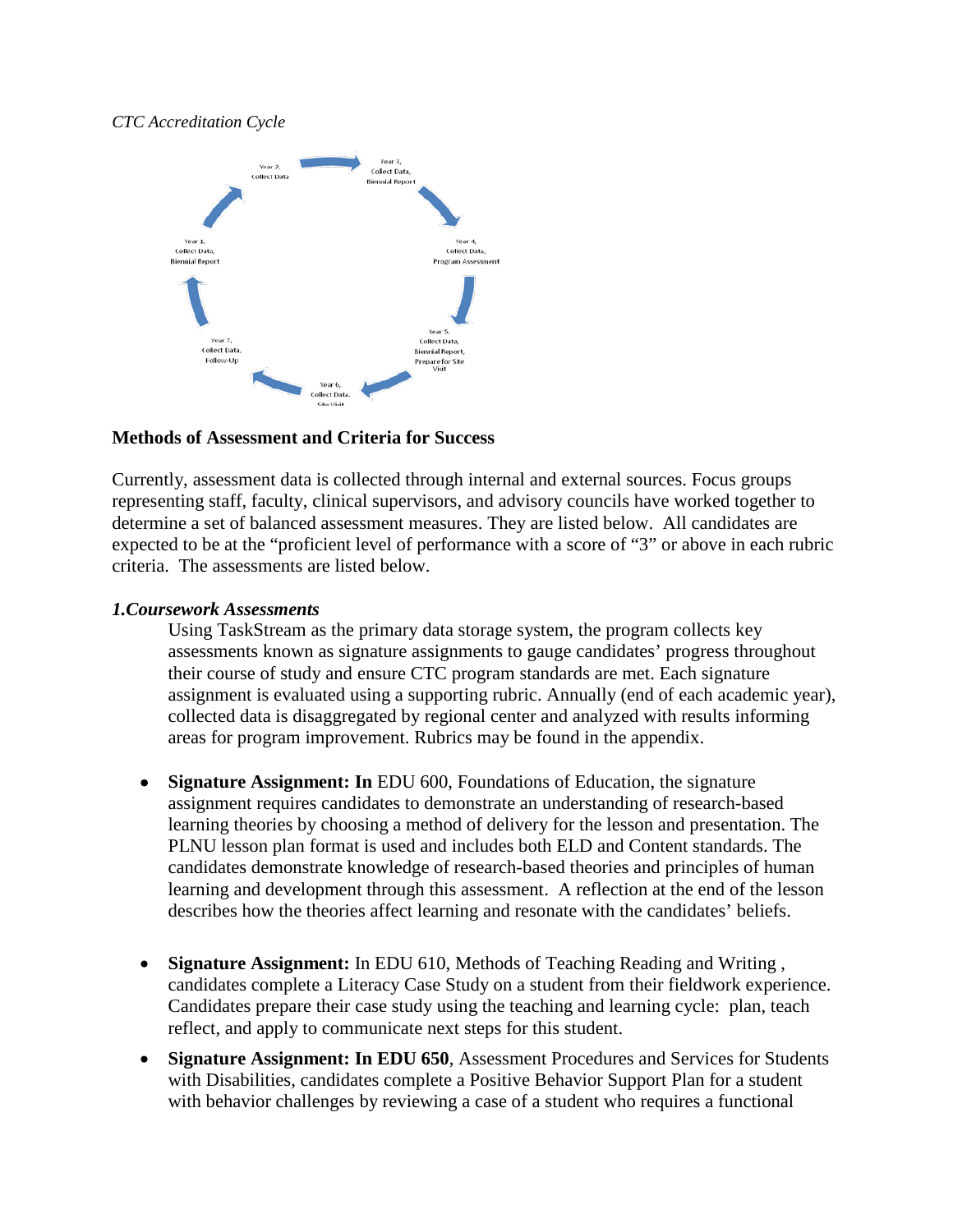#### *CTC Accreditation Cycle*



#### **Methods of Assessment and Criteria for Success**

Currently, assessment data is collected through internal and external sources. Focus groups representing staff, faculty, clinical supervisors, and advisory councils have worked together to determine a set of balanced assessment measures. They are listed below. All candidates are expected to be at the "proficient level of performance with a score of "3" or above in each rubric criteria. The assessments are listed below.

### *1.Coursework Assessments*

Using TaskStream as the primary data storage system, the program collects key assessments known as signature assignments to gauge candidates' progress throughout their course of study and ensure CTC program standards are met. Each signature assignment is evaluated using a supporting rubric. Annually (end of each academic year), collected data is disaggregated by regional center and analyzed with results informing areas for program improvement. Rubrics may be found in the appendix.

- **Signature Assignment: In** EDU 600, Foundations of Education, the signature assignment requires candidates to demonstrate an understanding of research-based learning theories by choosing a method of delivery for the lesson and presentation. The PLNU lesson plan format is used and includes both ELD and Content standards. The candidates demonstrate knowledge of research-based theories and principles of human learning and development through this assessment. A reflection at the end of the lesson describes how the theories affect learning and resonate with the candidates' beliefs.
- **Signature Assignment:** In EDU 610, Methods of Teaching Reading and Writing , candidates complete a Literacy Case Study on a student from their fieldwork experience. Candidates prepare their case study using the teaching and learning cycle: plan, teach reflect, and apply to communicate next steps for this student.
- **Signature Assignment: In EDU 650**, Assessment Procedures and Services for Students with Disabilities, candidates complete a Positive Behavior Support Plan for a student with behavior challenges by reviewing a case of a student who requires a functional